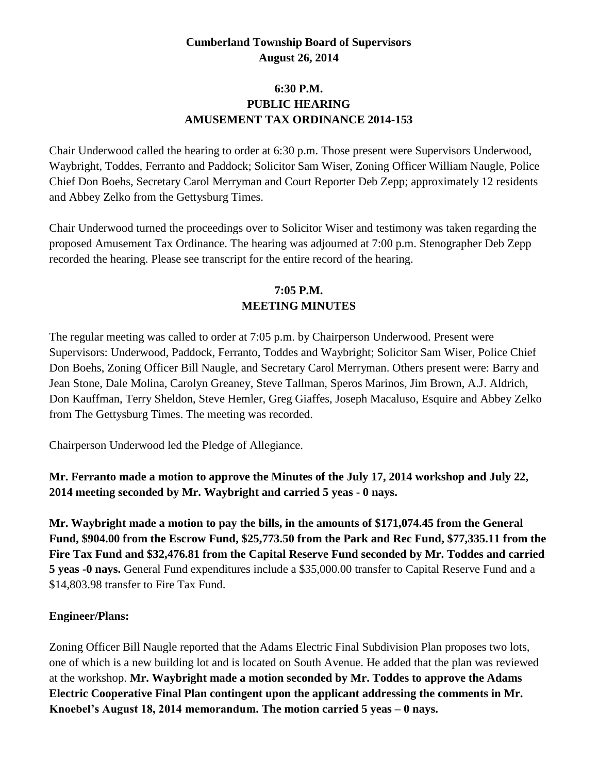# **Cumberland Township Board of Supervisors August 26, 2014**

# **6:30 P.M. PUBLIC HEARING AMUSEMENT TAX ORDINANCE 2014-153**

Chair Underwood called the hearing to order at 6:30 p.m. Those present were Supervisors Underwood, Waybright, Toddes, Ferranto and Paddock; Solicitor Sam Wiser, Zoning Officer William Naugle, Police Chief Don Boehs, Secretary Carol Merryman and Court Reporter Deb Zepp; approximately 12 residents and Abbey Zelko from the Gettysburg Times.

Chair Underwood turned the proceedings over to Solicitor Wiser and testimony was taken regarding the proposed Amusement Tax Ordinance. The hearing was adjourned at 7:00 p.m. Stenographer Deb Zepp recorded the hearing. Please see transcript for the entire record of the hearing.

# **7:05 P.M. MEETING MINUTES**

The regular meeting was called to order at 7:05 p.m. by Chairperson Underwood. Present were Supervisors: Underwood, Paddock, Ferranto, Toddes and Waybright; Solicitor Sam Wiser, Police Chief Don Boehs, Zoning Officer Bill Naugle, and Secretary Carol Merryman. Others present were: Barry and Jean Stone, Dale Molina, Carolyn Greaney, Steve Tallman, Speros Marinos, Jim Brown, A.J. Aldrich, Don Kauffman, Terry Sheldon, Steve Hemler, Greg Giaffes, Joseph Macaluso, Esquire and Abbey Zelko from The Gettysburg Times. The meeting was recorded.

Chairperson Underwood led the Pledge of Allegiance.

**Mr. Ferranto made a motion to approve the Minutes of the July 17, 2014 workshop and July 22, 2014 meeting seconded by Mr. Waybright and carried 5 yeas - 0 nays.** 

**Mr. Waybright made a motion to pay the bills, in the amounts of \$171,074.45 from the General Fund, \$904.00 from the Escrow Fund, \$25,773.50 from the Park and Rec Fund, \$77,335.11 from the Fire Tax Fund and \$32,476.81 from the Capital Reserve Fund seconded by Mr. Toddes and carried 5 yeas -0 nays.** General Fund expenditures include a \$35,000.00 transfer to Capital Reserve Fund and a \$14,803.98 transfer to Fire Tax Fund.

#### **Engineer/Plans:**

Zoning Officer Bill Naugle reported that the Adams Electric Final Subdivision Plan proposes two lots, one of which is a new building lot and is located on South Avenue. He added that the plan was reviewed at the workshop. **Mr. Waybright made a motion seconded by Mr. Toddes to approve the Adams Electric Cooperative Final Plan contingent upon the applicant addressing the comments in Mr. Knoebel's August 18, 2014 memorandum. The motion carried 5 yeas – 0 nays.**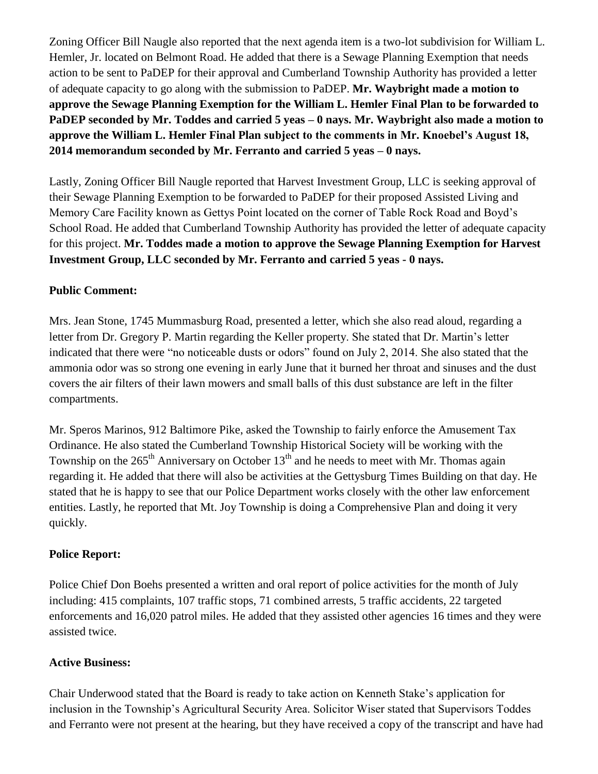Zoning Officer Bill Naugle also reported that the next agenda item is a two-lot subdivision for William L. Hemler, Jr. located on Belmont Road. He added that there is a Sewage Planning Exemption that needs action to be sent to PaDEP for their approval and Cumberland Township Authority has provided a letter of adequate capacity to go along with the submission to PaDEP. **Mr. Waybright made a motion to approve the Sewage Planning Exemption for the William L. Hemler Final Plan to be forwarded to PaDEP seconded by Mr. Toddes and carried 5 yeas – 0 nays. Mr. Waybright also made a motion to approve the William L. Hemler Final Plan subject to the comments in Mr. Knoebel's August 18, 2014 memorandum seconded by Mr. Ferranto and carried 5 yeas – 0 nays.**

Lastly, Zoning Officer Bill Naugle reported that Harvest Investment Group, LLC is seeking approval of their Sewage Planning Exemption to be forwarded to PaDEP for their proposed Assisted Living and Memory Care Facility known as Gettys Point located on the corner of Table Rock Road and Boyd's School Road. He added that Cumberland Township Authority has provided the letter of adequate capacity for this project. **Mr. Toddes made a motion to approve the Sewage Planning Exemption for Harvest Investment Group, LLC seconded by Mr. Ferranto and carried 5 yeas - 0 nays.**

### **Public Comment:**

Mrs. Jean Stone, 1745 Mummasburg Road, presented a letter, which she also read aloud, regarding a letter from Dr. Gregory P. Martin regarding the Keller property. She stated that Dr. Martin's letter indicated that there were "no noticeable dusts or odors" found on July 2, 2014. She also stated that the ammonia odor was so strong one evening in early June that it burned her throat and sinuses and the dust covers the air filters of their lawn mowers and small balls of this dust substance are left in the filter compartments.

Mr. Speros Marinos, 912 Baltimore Pike, asked the Township to fairly enforce the Amusement Tax Ordinance. He also stated the Cumberland Township Historical Society will be working with the Township on the  $265<sup>th</sup>$  Anniversary on October 13<sup>th</sup> and he needs to meet with Mr. Thomas again regarding it. He added that there will also be activities at the Gettysburg Times Building on that day. He stated that he is happy to see that our Police Department works closely with the other law enforcement entities. Lastly, he reported that Mt. Joy Township is doing a Comprehensive Plan and doing it very quickly.

#### **Police Report:**

Police Chief Don Boehs presented a written and oral report of police activities for the month of July including: 415 complaints, 107 traffic stops, 71 combined arrests, 5 traffic accidents, 22 targeted enforcements and 16,020 patrol miles. He added that they assisted other agencies 16 times and they were assisted twice.

#### **Active Business:**

Chair Underwood stated that the Board is ready to take action on Kenneth Stake's application for inclusion in the Township's Agricultural Security Area. Solicitor Wiser stated that Supervisors Toddes and Ferranto were not present at the hearing, but they have received a copy of the transcript and have had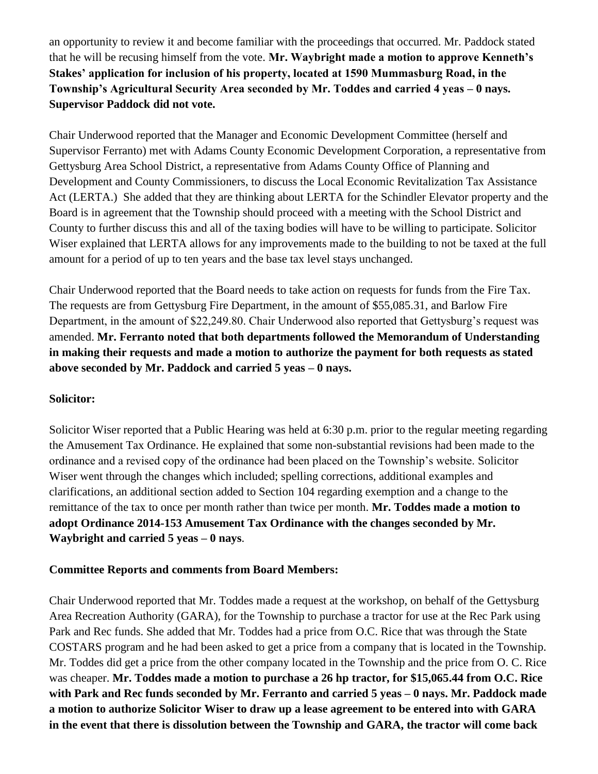an opportunity to review it and become familiar with the proceedings that occurred. Mr. Paddock stated that he will be recusing himself from the vote. **Mr. Waybright made a motion to approve Kenneth's Stakes' application for inclusion of his property, located at 1590 Mummasburg Road, in the Township's Agricultural Security Area seconded by Mr. Toddes and carried 4 yeas – 0 nays. Supervisor Paddock did not vote.**

Chair Underwood reported that the Manager and Economic Development Committee (herself and Supervisor Ferranto) met with Adams County Economic Development Corporation, a representative from Gettysburg Area School District, a representative from Adams County Office of Planning and Development and County Commissioners, to discuss the Local Economic Revitalization Tax Assistance Act (LERTA.) She added that they are thinking about LERTA for the Schindler Elevator property and the Board is in agreement that the Township should proceed with a meeting with the School District and County to further discuss this and all of the taxing bodies will have to be willing to participate. Solicitor Wiser explained that LERTA allows for any improvements made to the building to not be taxed at the full amount for a period of up to ten years and the base tax level stays unchanged.

Chair Underwood reported that the Board needs to take action on requests for funds from the Fire Tax. The requests are from Gettysburg Fire Department, in the amount of \$55,085.31, and Barlow Fire Department, in the amount of \$22,249.80. Chair Underwood also reported that Gettysburg's request was amended. **Mr. Ferranto noted that both departments followed the Memorandum of Understanding in making their requests and made a motion to authorize the payment for both requests as stated above seconded by Mr. Paddock and carried 5 yeas – 0 nays.** 

#### **Solicitor:**

Solicitor Wiser reported that a Public Hearing was held at 6:30 p.m. prior to the regular meeting regarding the Amusement Tax Ordinance. He explained that some non-substantial revisions had been made to the ordinance and a revised copy of the ordinance had been placed on the Township's website. Solicitor Wiser went through the changes which included; spelling corrections, additional examples and clarifications, an additional section added to Section 104 regarding exemption and a change to the remittance of the tax to once per month rather than twice per month. **Mr. Toddes made a motion to adopt Ordinance 2014-153 Amusement Tax Ordinance with the changes seconded by Mr. Waybright and carried 5 yeas – 0 nays**.

#### **Committee Reports and comments from Board Members:**

Chair Underwood reported that Mr. Toddes made a request at the workshop, on behalf of the Gettysburg Area Recreation Authority (GARA), for the Township to purchase a tractor for use at the Rec Park using Park and Rec funds. She added that Mr. Toddes had a price from O.C. Rice that was through the State COSTARS program and he had been asked to get a price from a company that is located in the Township. Mr. Toddes did get a price from the other company located in the Township and the price from O. C. Rice was cheaper. **Mr. Toddes made a motion to purchase a 26 hp tractor, for \$15,065.44 from O.C. Rice with Park and Rec funds seconded by Mr. Ferranto and carried 5 yeas – 0 nays. Mr. Paddock made a motion to authorize Solicitor Wiser to draw up a lease agreement to be entered into with GARA in the event that there is dissolution between the Township and GARA, the tractor will come back**